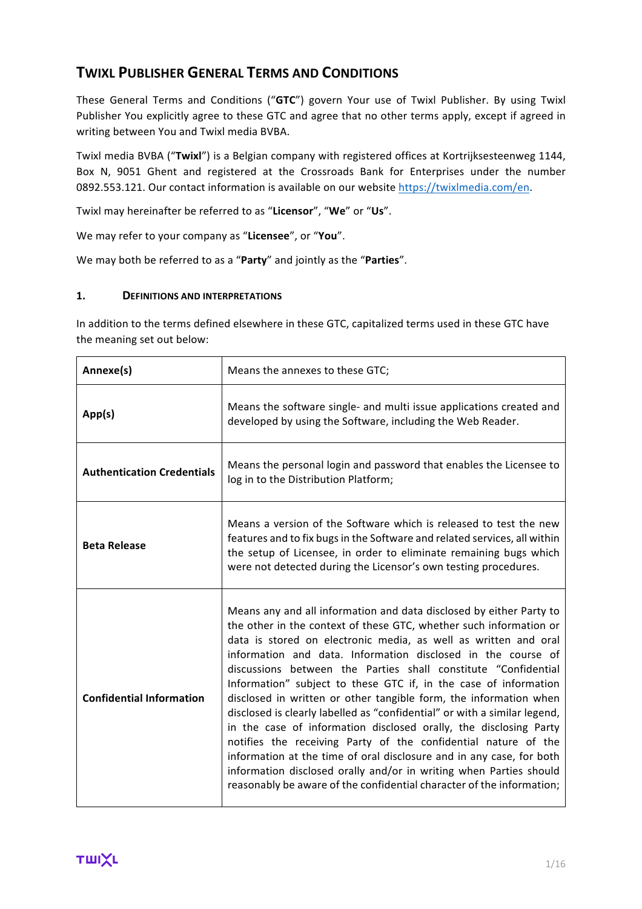# **TWIXL PUBLISHER GENERAL TERMS AND CONDITIONS**

These General Terms and Conditions ("GTC") govern Your use of Twixl Publisher. By using Twixl Publisher You explicitly agree to these GTC and agree that no other terms apply, except if agreed in writing between You and Twixl media BVBA.

Twixl media BVBA ("Twixl") is a Belgian company with registered offices at Kortrijksesteenweg 1144, Box N, 9051 Ghent and registered at the Crossroads Bank for Enterprises under the number 0892.553.121. Our contact information is available on our website https://twixlmedia.com/en.

Twixl may hereinafter be referred to as "Licensor", "We" or "Us".

We may refer to your company as "Licensee", or "You".

We may both be referred to as a "Party" and jointly as the "Parties".

## 1. **DEFINITIONS AND INTERPRETATIONS**

In addition to the terms defined elsewhere in these GTC, capitalized terms used in these GTC have the meaning set out below:

| Annexe(s)                         | Means the annexes to these GTC;                                                                                                                                                                                                                                                                                                                                                                                                                                                                                                                                                                                                                                                                                                                                                                                                                                                                                                    |
|-----------------------------------|------------------------------------------------------------------------------------------------------------------------------------------------------------------------------------------------------------------------------------------------------------------------------------------------------------------------------------------------------------------------------------------------------------------------------------------------------------------------------------------------------------------------------------------------------------------------------------------------------------------------------------------------------------------------------------------------------------------------------------------------------------------------------------------------------------------------------------------------------------------------------------------------------------------------------------|
| App(s)                            | Means the software single- and multi issue applications created and<br>developed by using the Software, including the Web Reader.                                                                                                                                                                                                                                                                                                                                                                                                                                                                                                                                                                                                                                                                                                                                                                                                  |
| <b>Authentication Credentials</b> | Means the personal login and password that enables the Licensee to<br>log in to the Distribution Platform;                                                                                                                                                                                                                                                                                                                                                                                                                                                                                                                                                                                                                                                                                                                                                                                                                         |
| <b>Beta Release</b>               | Means a version of the Software which is released to test the new<br>features and to fix bugs in the Software and related services, all within<br>the setup of Licensee, in order to eliminate remaining bugs which<br>were not detected during the Licensor's own testing procedures.                                                                                                                                                                                                                                                                                                                                                                                                                                                                                                                                                                                                                                             |
| <b>Confidential Information</b>   | Means any and all information and data disclosed by either Party to<br>the other in the context of these GTC, whether such information or<br>data is stored on electronic media, as well as written and oral<br>information and data. Information disclosed in the course of<br>discussions between the Parties shall constitute "Confidential<br>Information" subject to these GTC if, in the case of information<br>disclosed in written or other tangible form, the information when<br>disclosed is clearly labelled as "confidential" or with a similar legend,<br>in the case of information disclosed orally, the disclosing Party<br>notifies the receiving Party of the confidential nature of the<br>information at the time of oral disclosure and in any case, for both<br>information disclosed orally and/or in writing when Parties should<br>reasonably be aware of the confidential character of the information; |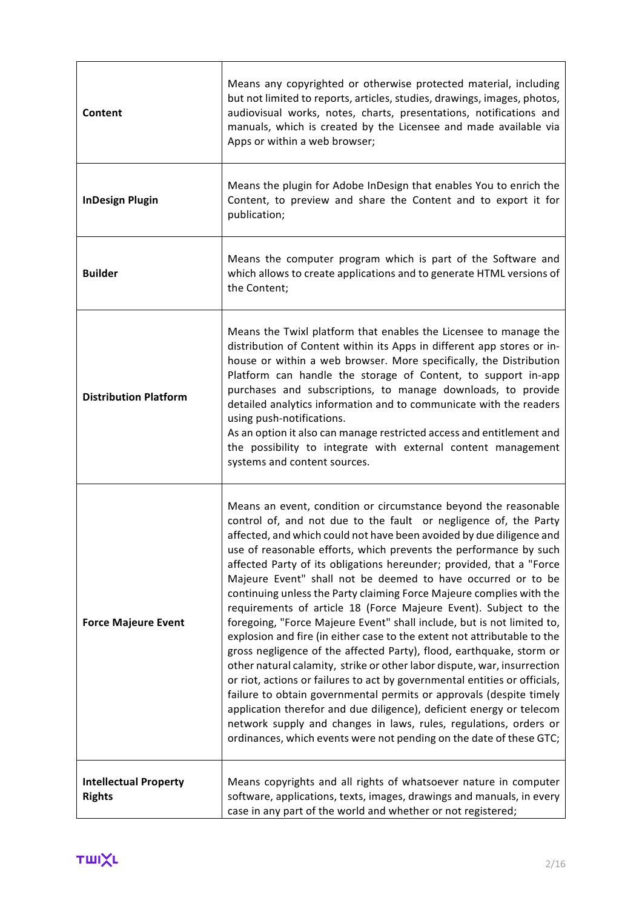| Content                                       | Means any copyrighted or otherwise protected material, including<br>but not limited to reports, articles, studies, drawings, images, photos,<br>audiovisual works, notes, charts, presentations, notifications and<br>manuals, which is created by the Licensee and made available via<br>Apps or within a web browser;                                                                                                                                                                                                                                                                                                                                                                                                                                                                                                                                                                                                                                                                                                                                                                                                                                                                                                                                 |
|-----------------------------------------------|---------------------------------------------------------------------------------------------------------------------------------------------------------------------------------------------------------------------------------------------------------------------------------------------------------------------------------------------------------------------------------------------------------------------------------------------------------------------------------------------------------------------------------------------------------------------------------------------------------------------------------------------------------------------------------------------------------------------------------------------------------------------------------------------------------------------------------------------------------------------------------------------------------------------------------------------------------------------------------------------------------------------------------------------------------------------------------------------------------------------------------------------------------------------------------------------------------------------------------------------------------|
| <b>InDesign Plugin</b>                        | Means the plugin for Adobe InDesign that enables You to enrich the<br>Content, to preview and share the Content and to export it for<br>publication;                                                                                                                                                                                                                                                                                                                                                                                                                                                                                                                                                                                                                                                                                                                                                                                                                                                                                                                                                                                                                                                                                                    |
| <b>Builder</b>                                | Means the computer program which is part of the Software and<br>which allows to create applications and to generate HTML versions of<br>the Content;                                                                                                                                                                                                                                                                                                                                                                                                                                                                                                                                                                                                                                                                                                                                                                                                                                                                                                                                                                                                                                                                                                    |
| <b>Distribution Platform</b>                  | Means the Twixl platform that enables the Licensee to manage the<br>distribution of Content within its Apps in different app stores or in-<br>house or within a web browser. More specifically, the Distribution<br>Platform can handle the storage of Content, to support in-app<br>purchases and subscriptions, to manage downloads, to provide<br>detailed analytics information and to communicate with the readers<br>using push-notifications.<br>As an option it also can manage restricted access and entitlement and<br>the possibility to integrate with external content management<br>systems and content sources.                                                                                                                                                                                                                                                                                                                                                                                                                                                                                                                                                                                                                          |
| <b>Force Majeure Event</b>                    | Means an event, condition or circumstance beyond the reasonable<br>control of, and not due to the fault or negligence of, the Party<br>affected, and which could not have been avoided by due diligence and<br>use of reasonable efforts, which prevents the performance by such<br>affected Party of its obligations hereunder; provided, that a "Force<br>Majeure Event" shall not be deemed to have occurred or to be<br>continuing unless the Party claiming Force Majeure complies with the<br>requirements of article 18 (Force Majeure Event). Subject to the<br>foregoing, "Force Majeure Event" shall include, but is not limited to,<br>explosion and fire (in either case to the extent not attributable to the<br>gross negligence of the affected Party), flood, earthquake, storm or<br>other natural calamity, strike or other labor dispute, war, insurrection<br>or riot, actions or failures to act by governmental entities or officials,<br>failure to obtain governmental permits or approvals (despite timely<br>application therefor and due diligence), deficient energy or telecom<br>network supply and changes in laws, rules, regulations, orders or<br>ordinances, which events were not pending on the date of these GTC; |
| <b>Intellectual Property</b><br><b>Rights</b> | Means copyrights and all rights of whatsoever nature in computer<br>software, applications, texts, images, drawings and manuals, in every<br>case in any part of the world and whether or not registered;                                                                                                                                                                                                                                                                                                                                                                                                                                                                                                                                                                                                                                                                                                                                                                                                                                                                                                                                                                                                                                               |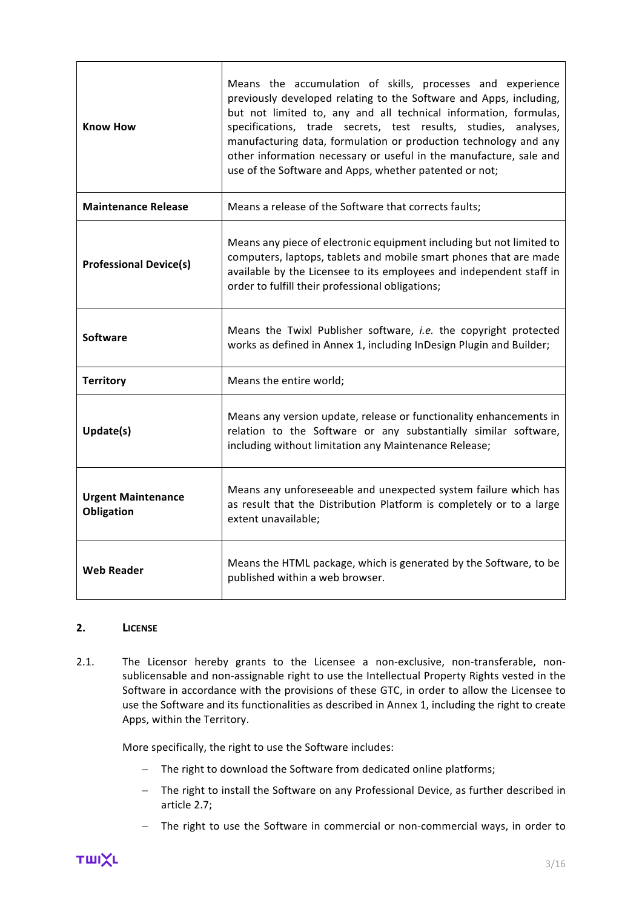| <b>Know How</b>                         | Means the accumulation of skills, processes and experience<br>previously developed relating to the Software and Apps, including,<br>but not limited to, any and all technical information, formulas,<br>specifications, trade secrets, test results, studies, analyses,<br>manufacturing data, formulation or production technology and any<br>other information necessary or useful in the manufacture, sale and<br>use of the Software and Apps, whether patented or not; |
|-----------------------------------------|-----------------------------------------------------------------------------------------------------------------------------------------------------------------------------------------------------------------------------------------------------------------------------------------------------------------------------------------------------------------------------------------------------------------------------------------------------------------------------|
| <b>Maintenance Release</b>              | Means a release of the Software that corrects faults;                                                                                                                                                                                                                                                                                                                                                                                                                       |
| <b>Professional Device(s)</b>           | Means any piece of electronic equipment including but not limited to<br>computers, laptops, tablets and mobile smart phones that are made<br>available by the Licensee to its employees and independent staff in<br>order to fulfill their professional obligations;                                                                                                                                                                                                        |
| Software                                | Means the Twixl Publisher software, i.e. the copyright protected<br>works as defined in Annex 1, including InDesign Plugin and Builder;                                                                                                                                                                                                                                                                                                                                     |
| <b>Territory</b>                        | Means the entire world;                                                                                                                                                                                                                                                                                                                                                                                                                                                     |
| Update(s)                               | Means any version update, release or functionality enhancements in<br>relation to the Software or any substantially similar software,<br>including without limitation any Maintenance Release;                                                                                                                                                                                                                                                                              |
| <b>Urgent Maintenance</b><br>Obligation | Means any unforeseeable and unexpected system failure which has<br>as result that the Distribution Platform is completely or to a large<br>extent unavailable;                                                                                                                                                                                                                                                                                                              |
| <b>Web Reader</b>                       | Means the HTML package, which is generated by the Software, to be<br>published within a web browser.                                                                                                                                                                                                                                                                                                                                                                        |

#### **2. LICENSE**

2.1. The Licensor hereby grants to the Licensee a non-exclusive, non-transferable, nonsublicensable and non-assignable right to use the Intellectual Property Rights vested in the Software in accordance with the provisions of these GTC, in order to allow the Licensee to use the Software and its functionalities as described in Annex 1, including the right to create Apps, within the Territory.

More specifically, the right to use the Software includes:

- The right to download the Software from dedicated online platforms;
- The right to install the Software on any Professional Device, as further described in article 2.7;
- The right to use the Software in commercial or non-commercial ways, in order to

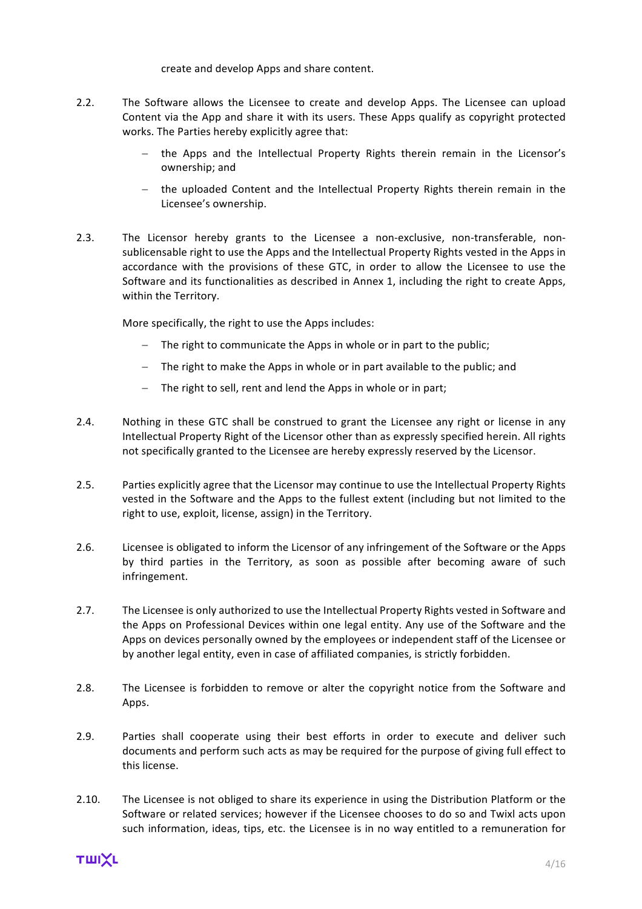create and develop Apps and share content.

- 2.2. The Software allows the Licensee to create and develop Apps. The Licensee can upload Content via the App and share it with its users. These Apps qualify as copyright protected works. The Parties hereby explicitly agree that:
	- the Apps and the Intellectual Property Rights therein remain in the Licensor's ownership; and
	- the uploaded Content and the Intellectual Property Rights therein remain in the Licensee's ownership.
- 2.3. The Licensor hereby grants to the Licensee a non-exclusive, non-transferable, nonsublicensable right to use the Apps and the Intellectual Property Rights vested in the Apps in accordance with the provisions of these GTC, in order to allow the Licensee to use the Software and its functionalities as described in Annex 1, including the right to create Apps, within the Territory.

More specifically, the right to use the Apps includes:

- $-$  The right to communicate the Apps in whole or in part to the public;
- $-$  The right to make the Apps in whole or in part available to the public; and
- The right to sell, rent and lend the Apps in whole or in part;
- 2.4. Nothing in these GTC shall be construed to grant the Licensee any right or license in any Intellectual Property Right of the Licensor other than as expressly specified herein. All rights not specifically granted to the Licensee are hereby expressly reserved by the Licensor.
- 2.5. Parties explicitly agree that the Licensor may continue to use the Intellectual Property Rights vested in the Software and the Apps to the fullest extent (including but not limited to the right to use, exploit, license, assign) in the Territory.
- 2.6. Licensee is obligated to inform the Licensor of any infringement of the Software or the Apps by third parties in the Territory, as soon as possible after becoming aware of such infringement.
- 2.7. The Licensee is only authorized to use the Intellectual Property Rights vested in Software and the Apps on Professional Devices within one legal entity. Any use of the Software and the Apps on devices personally owned by the employees or independent staff of the Licensee or by another legal entity, even in case of affiliated companies, is strictly forbidden.
- 2.8. The Licensee is forbidden to remove or alter the copyright notice from the Software and Apps.
- 2.9. Parties shall cooperate using their best efforts in order to execute and deliver such documents and perform such acts as may be required for the purpose of giving full effect to this license
- 2.10. The Licensee is not obliged to share its experience in using the Distribution Platform or the Software or related services: however if the Licensee chooses to do so and Twixl acts upon such information, ideas, tips, etc. the Licensee is in no way entitled to a remuneration for

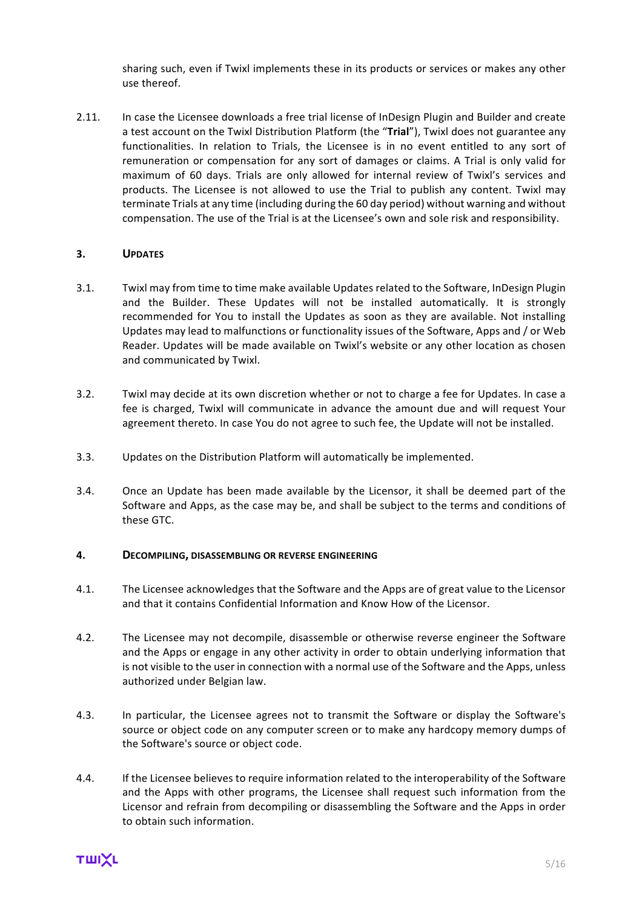sharing such, even if Twixl implements these in its products or services or makes any other use thereof.

2.11. In case the Licensee downloads a free trial license of InDesign Plugin and Builder and create a test account on the Twixl Distribution Platform (the "Trial"), Twixl does not guarantee any functionalities. In relation to Trials, the Licensee is in no event entitled to any sort of remuneration or compensation for any sort of damages or claims. A Trial is only valid for maximum of 60 days. Trials are only allowed for internal review of Twixl's services and products. The Licensee is not allowed to use the Trial to publish any content. Twixl may terminate Trials at any time (including during the 60 day period) without warning and without compensation. The use of the Trial is at the Licensee's own and sole risk and responsibility.

## **3. UPDATES**

- 3.1. Twixl may from time to time make available Updates related to the Software, InDesign Plugin and the Builder. These Updates will not be installed automatically. It is strongly recommended for You to install the Updates as soon as they are available. Not installing Updates may lead to malfunctions or functionality issues of the Software, Apps and / or Web Reader. Updates will be made available on Twixl's website or any other location as chosen and communicated by Twixl.
- 3.2. Twixl may decide at its own discretion whether or not to charge a fee for Updates. In case a fee is charged. Twixl will communicate in advance the amount due and will request Your agreement thereto. In case You do not agree to such fee, the Update will not be installed.
- 3.3. Updates on the Distribution Platform will automatically be implemented.
- 3.4. Once an Update has been made available by the Licensor, it shall be deemed part of the Software and Apps, as the case may be, and shall be subject to the terms and conditions of these GTC.

#### **4. DECOMPILING, DISASSEMBLING OR REVERSE ENGINEERING**

- 4.1. The Licensee acknowledges that the Software and the Apps are of great value to the Licensor and that it contains Confidential Information and Know How of the Licensor.
- 4.2. The Licensee may not decompile, disassemble or otherwise reverse engineer the Software and the Apps or engage in any other activity in order to obtain underlying information that is not visible to the user in connection with a normal use of the Software and the Apps, unless authorized under Belgian law.
- 4.3. In particular, the Licensee agrees not to transmit the Software or display the Software's source or object code on any computer screen or to make any hardcopy memory dumps of the Software's source or object code.
- 4.4. If the Licensee believes to require information related to the interoperability of the Software and the Apps with other programs, the Licensee shall request such information from the Licensor and refrain from decompiling or disassembling the Software and the Apps in order to obtain such information.

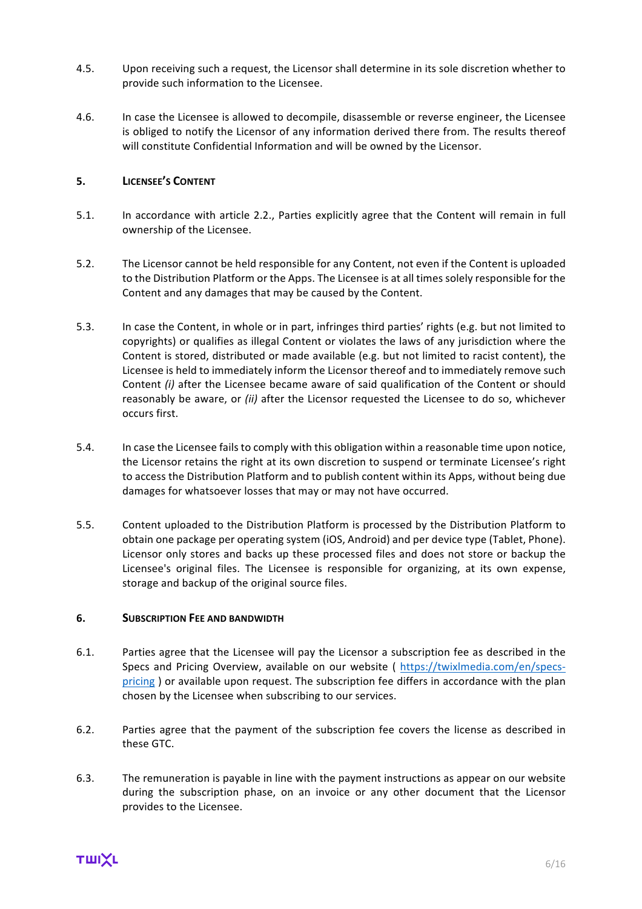- 4.5. Upon receiving such a request, the Licensor shall determine in its sole discretion whether to provide such information to the Licensee.
- 4.6. In case the Licensee is allowed to decompile, disassemble or reverse engineer, the Licensee is obliged to notify the Licensor of any information derived there from. The results thereof will constitute Confidential Information and will be owned by the Licensor.

## **5. LICENSEE'S CONTENT**

- 5.1. In accordance with article 2.2., Parties explicitly agree that the Content will remain in full ownership of the Licensee.
- 5.2. The Licensor cannot be held responsible for any Content, not even if the Content is uploaded to the Distribution Platform or the Apps. The Licensee is at all times solely responsible for the Content and any damages that may be caused by the Content.
- 5.3. In case the Content, in whole or in part, infringes third parties' rights (e.g. but not limited to copyrights) or qualifies as illegal Content or violates the laws of any jurisdiction where the Content is stored, distributed or made available (e.g. but not limited to racist content), the Licensee is held to immediately inform the Licensor thereof and to immediately remove such Content *(i)* after the Licensee became aware of said qualification of the Content or should reasonably be aware, or *(ii)* after the Licensor requested the Licensee to do so, whichever occurs first.
- 5.4. In case the Licensee fails to comply with this obligation within a reasonable time upon notice, the Licensor retains the right at its own discretion to suspend or terminate Licensee's right to access the Distribution Platform and to publish content within its Apps, without being due damages for whatsoever losses that may or may not have occurred.
- 5.5. Content uploaded to the Distribution Platform is processed by the Distribution Platform to obtain one package per operating system (iOS, Android) and per device type (Tablet, Phone). Licensor only stores and backs up these processed files and does not store or backup the Licensee's original files. The Licensee is responsible for organizing, at its own expense, storage and backup of the original source files.

#### **6. SUBSCRIPTION FEE AND BANDWIDTH**

- 6.1. Parties agree that the Licensee will pay the Licensor a subscription fee as described in the Specs and Pricing Overview, available on our website ( https://twixlmedia.com/en/specspricing ) or available upon request. The subscription fee differs in accordance with the plan chosen by the Licensee when subscribing to our services.
- 6.2. Parties agree that the payment of the subscription fee covers the license as described in these GTC.
- 6.3. The remuneration is payable in line with the payment instructions as appear on our website during the subscription phase, on an invoice or any other document that the Licensor provides to the Licensee.

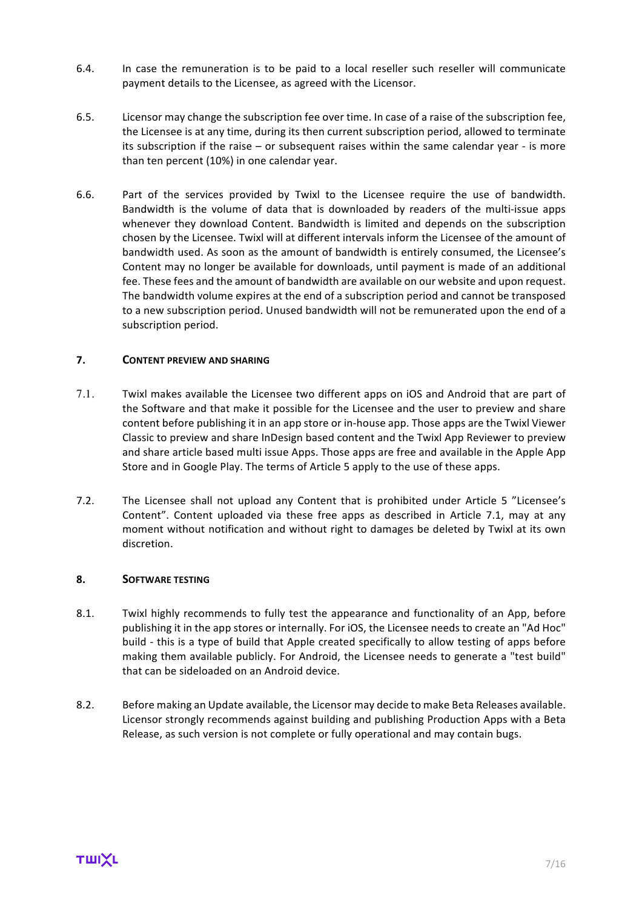- 6.4. In case the remuneration is to be paid to a local reseller such reseller will communicate payment details to the Licensee, as agreed with the Licensor.
- 6.5. Licensor may change the subscription fee over time. In case of a raise of the subscription fee, the Licensee is at any time, during its then current subscription period, allowed to terminate its subscription if the raise  $-$  or subsequent raises within the same calendar year - is more than ten percent (10%) in one calendar year.
- 6.6. Part of the services provided by Twixl to the Licensee require the use of bandwidth. Bandwidth is the volume of data that is downloaded by readers of the multi-issue apps whenever they download Content. Bandwidth is limited and depends on the subscription chosen by the Licensee. Twixl will at different intervals inform the Licensee of the amount of bandwidth used. As soon as the amount of bandwidth is entirely consumed, the Licensee's Content may no longer be available for downloads, until payment is made of an additional fee. These fees and the amount of bandwidth are available on our website and upon request. The bandwidth volume expires at the end of a subscription period and cannot be transposed to a new subscription period. Unused bandwidth will not be remunerated upon the end of a subscription period.

## **7. CONTENT PREVIEW AND SHARING**

- 7.1. Twixl makes available the Licensee two different apps on iOS and Android that are part of the Software and that make it possible for the Licensee and the user to preview and share content before publishing it in an app store or in-house app. Those apps are the Twixl Viewer Classic to preview and share InDesign based content and the Twixl App Reviewer to preview and share article based multi issue Apps. Those apps are free and available in the Apple App Store and in Google Play. The terms of Article 5 apply to the use of these apps.
- 7.2. The Licensee shall not upload any Content that is prohibited under Article 5 "Licensee's Content". Content uploaded via these free apps as described in Article 7.1, may at any moment without notification and without right to damages be deleted by Twixl at its own discretion.

#### 8. **SOFTWARE TESTING**

- 8.1. Twixl highly recommends to fully test the appearance and functionality of an App, before publishing it in the app stores or internally. For iOS, the Licensee needs to create an "Ad Hoc" build - this is a type of build that Apple created specifically to allow testing of apps before making them available publicly. For Android, the Licensee needs to generate a "test build" that can be sideloaded on an Android device.
- 8.2. Before making an Update available, the Licensor may decide to make Beta Releases available. Licensor strongly recommends against building and publishing Production Apps with a Beta Release, as such version is not complete or fully operational and may contain bugs.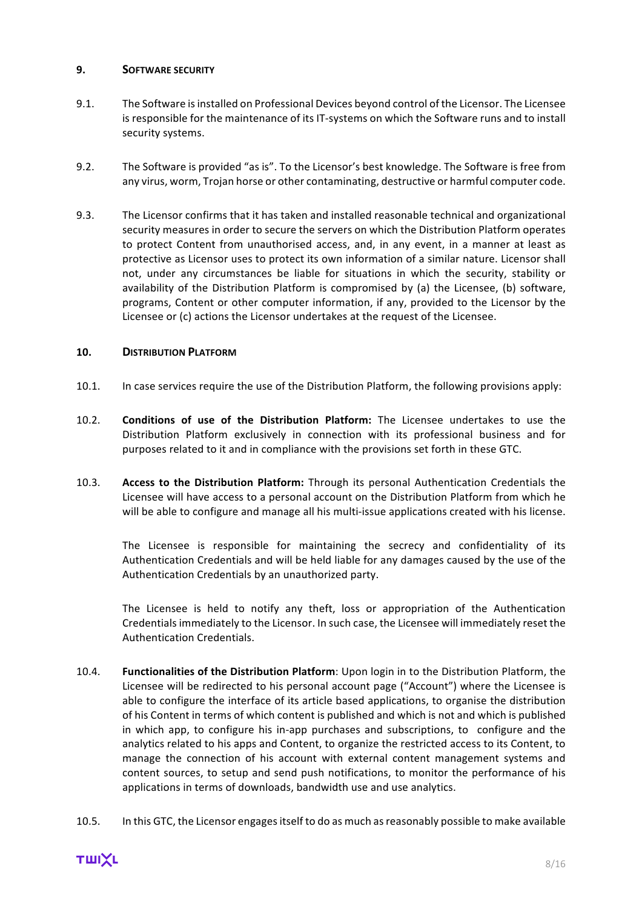#### **9. SOFTWARE SECURITY**

- 9.1. The Software is installed on Professional Devices beyond control of the Licensor. The Licensee is responsible for the maintenance of its IT-systems on which the Software runs and to install security systems.
- 9.2. The Software is provided "as is". To the Licensor's best knowledge. The Software is free from any virus, worm, Trojan horse or other contaminating, destructive or harmful computer code.
- 9.3. The Licensor confirms that it has taken and installed reasonable technical and organizational security measures in order to secure the servers on which the Distribution Platform operates to protect Content from unauthorised access, and, in any event, in a manner at least as protective as Licensor uses to protect its own information of a similar nature. Licensor shall not, under any circumstances be liable for situations in which the security, stability or availability of the Distribution Platform is compromised by (a) the Licensee, (b) software, programs, Content or other computer information, if any, provided to the Licensor by the Licensee or (c) actions the Licensor undertakes at the request of the Licensee.

# **10. DISTRIBUTION PLATFORM**

- 10.1. In case services require the use of the Distribution Platform, the following provisions apply:
- 10.2. **Conditions of use of the Distribution Platform:** The Licensee undertakes to use the Distribution Platform exclusively in connection with its professional business and for purposes related to it and in compliance with the provisions set forth in these GTC.
- 10.3. **Access to the Distribution Platform:** Through its personal Authentication Credentials the Licensee will have access to a personal account on the Distribution Platform from which he will be able to configure and manage all his multi-issue applications created with his license.

The Licensee is responsible for maintaining the secrecy and confidentiality of its Authentication Credentials and will be held liable for any damages caused by the use of the Authentication Credentials by an unauthorized party.

The Licensee is held to notify any theft, loss or appropriation of the Authentication Credentials immediately to the Licensor. In such case, the Licensee will immediately reset the Authentication Credentials.

- 10.4. **Functionalities of the Distribution Platform**: Upon login in to the Distribution Platform, the Licensee will be redirected to his personal account page ("Account") where the Licensee is able to configure the interface of its article based applications, to organise the distribution of his Content in terms of which content is published and which is not and which is published in which app, to configure his in-app purchases and subscriptions, to configure and the analytics related to his apps and Content, to organize the restricted access to its Content, to manage the connection of his account with external content management systems and content sources, to setup and send push notifications, to monitor the performance of his applications in terms of downloads, bandwidth use and use analytics.
- 10.5. In this GTC, the Licensor engages itself to do as much as reasonably possible to make available

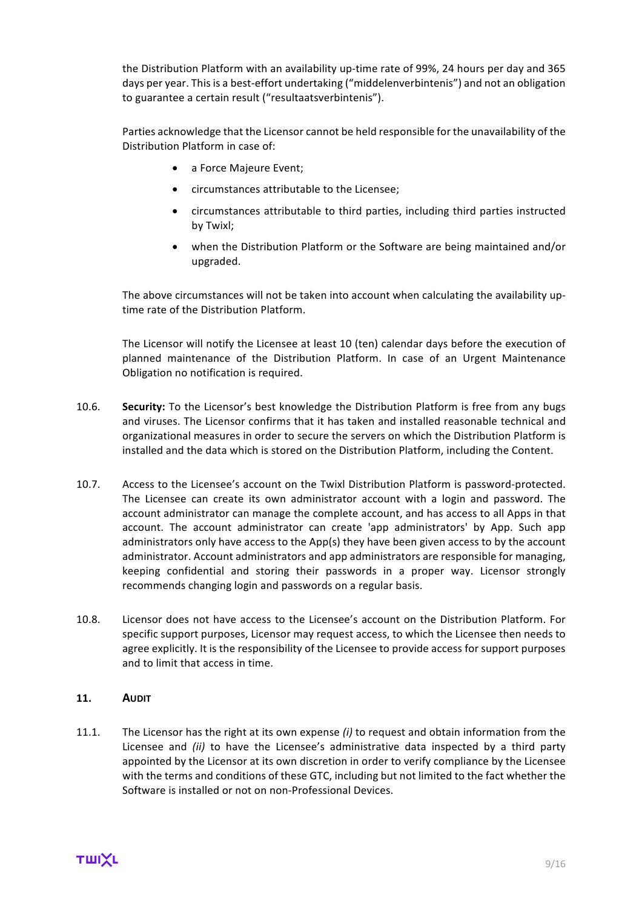the Distribution Platform with an availability up-time rate of 99%, 24 hours per day and 365 days per year. This is a best-effort undertaking ("middelenverbintenis") and not an obligation to guarantee a certain result ("resultaatsverbintenis").

Parties acknowledge that the Licensor cannot be held responsible for the unavailability of the Distribution Platform in case of:

- a Force Majeure Event;
- circumstances attributable to the Licensee;
- circumstances attributable to third parties, including third parties instructed by Twixl;
- when the Distribution Platform or the Software are being maintained and/or upgraded.

The above circumstances will not be taken into account when calculating the availability uptime rate of the Distribution Platform.

The Licensor will notify the Licensee at least 10 (ten) calendar days before the execution of planned maintenance of the Distribution Platform. In case of an Urgent Maintenance Obligation no notification is required.

- 10.6. **Security:** To the Licensor's best knowledge the Distribution Platform is free from any bugs and viruses. The Licensor confirms that it has taken and installed reasonable technical and organizational measures in order to secure the servers on which the Distribution Platform is installed and the data which is stored on the Distribution Platform, including the Content.
- 10.7. Access to the Licensee's account on the Twixl Distribution Platform is password-protected. The Licensee can create its own administrator account with a login and password. The account administrator can manage the complete account, and has access to all Apps in that account. The account administrator can create 'app administrators' by App. Such app administrators only have access to the App(s) they have been given access to by the account administrator. Account administrators and app administrators are responsible for managing, keeping confidential and storing their passwords in a proper way. Licensor strongly recommends changing login and passwords on a regular basis.
- 10.8. Licensor does not have access to the Licensee's account on the Distribution Platform. For specific support purposes, Licensor may request access, to which the Licensee then needs to agree explicitly. It is the responsibility of the Licensee to provide access for support purposes and to limit that access in time.

# **11. AUDIT**

11.1. The Licensor has the right at its own expense *(i)* to request and obtain information from the Licensee and *(ii)* to have the Licensee's administrative data inspected by a third party appointed by the Licensor at its own discretion in order to verify compliance by the Licensee with the terms and conditions of these GTC, including but not limited to the fact whether the Software is installed or not on non-Professional Devices.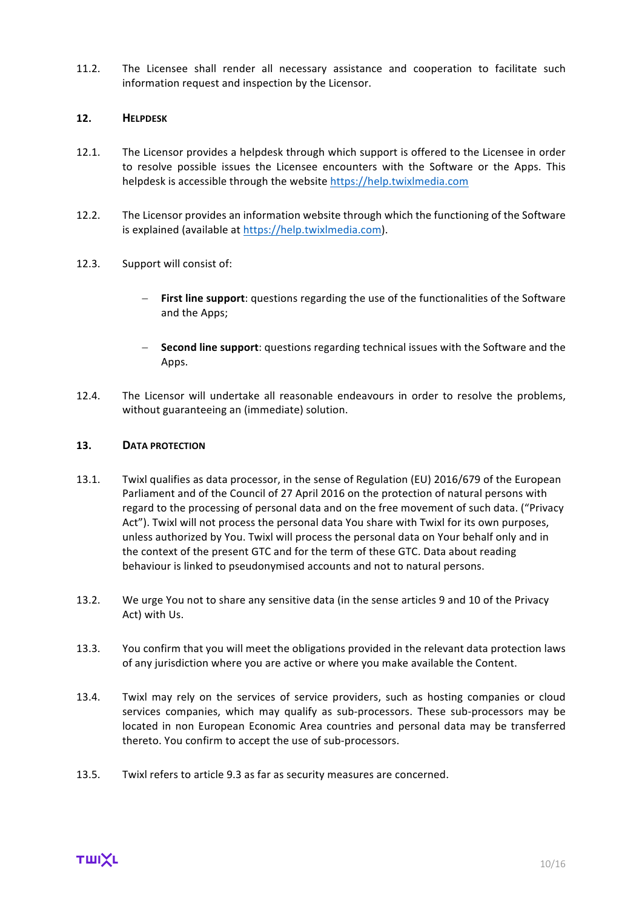11.2. The Licensee shall render all necessary assistance and cooperation to facilitate such information request and inspection by the Licensor.

#### **12. HELPDESK**

- 12.1. The Licensor provides a helpdesk through which support is offered to the Licensee in order to resolve possible issues the Licensee encounters with the Software or the Apps. This helpdesk is accessible through the website https://help.twixlmedia.com
- 12.2. The Licensor provides an information website through which the functioning of the Software is explained (available at https://help.twixlmedia.com).
- 12.3. Support will consist of:
	- **First line support**: questions regarding the use of the functionalities of the Software and the Apps;
	- **Second line support**: questions regarding technical issues with the Software and the Apps.
- 12.4. The Licensor will undertake all reasonable endeavours in order to resolve the problems, without guaranteeing an (immediate) solution.

#### 13. **DATA PROTECTION**

- 13.1. Twixl qualifies as data processor, in the sense of Regulation (EU) 2016/679 of the European Parliament and of the Council of 27 April 2016 on the protection of natural persons with regard to the processing of personal data and on the free movement of such data. ("Privacy Act"). Twixl will not process the personal data You share with Twixl for its own purposes, unless authorized by You. Twixl will process the personal data on Your behalf only and in the context of the present GTC and for the term of these GTC. Data about reading behaviour is linked to pseudonymised accounts and not to natural persons.
- 13.2. We urge You not to share any sensitive data (in the sense articles 9 and 10 of the Privacy Act) with Us.
- 13.3. You confirm that you will meet the obligations provided in the relevant data protection laws of any jurisdiction where you are active or where you make available the Content.
- 13.4. Twixl may rely on the services of service providers, such as hosting companies or cloud services companies, which may qualify as sub-processors. These sub-processors may be located in non European Economic Area countries and personal data may be transferred thereto. You confirm to accept the use of sub-processors.
- 13.5. Twixl refers to article 9.3 as far as security measures are concerned.

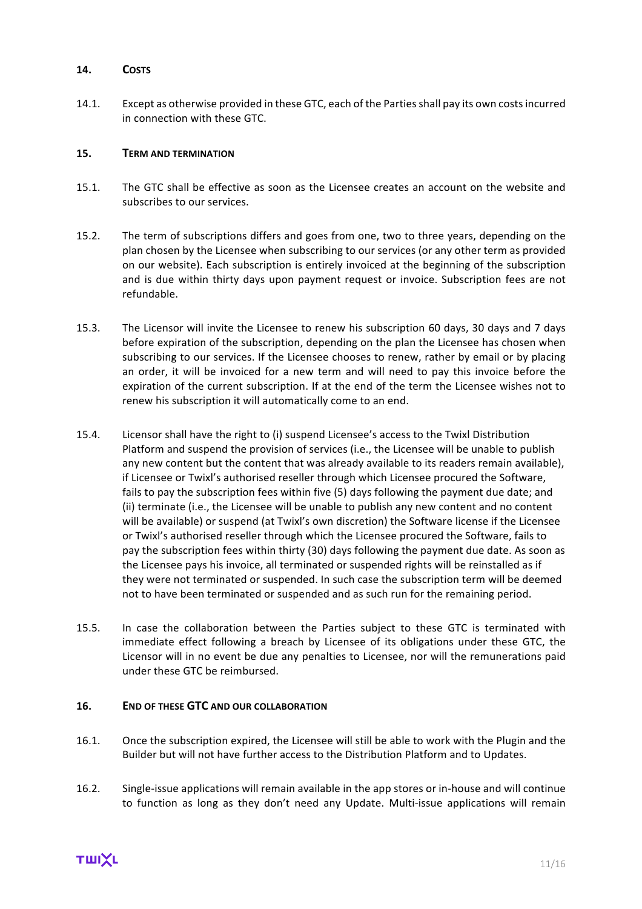#### **14. COSTS**

14.1. Except as otherwise provided in these GTC, each of the Parties shall pay its own costs incurred in connection with these GTC.

#### **15. TERM AND TERMINATION**

- 15.1. The GTC shall be effective as soon as the Licensee creates an account on the website and subscribes to our services.
- 15.2. The term of subscriptions differs and goes from one, two to three years, depending on the plan chosen by the Licensee when subscribing to our services (or any other term as provided on our website). Each subscription is entirely invoiced at the beginning of the subscription and is due within thirty days upon payment request or invoice. Subscription fees are not refundable.
- 15.3. The Licensor will invite the Licensee to renew his subscription 60 days, 30 days and 7 days before expiration of the subscription, depending on the plan the Licensee has chosen when subscribing to our services. If the Licensee chooses to renew, rather by email or by placing an order, it will be invoiced for a new term and will need to pay this invoice before the expiration of the current subscription. If at the end of the term the Licensee wishes not to renew his subscription it will automatically come to an end.
- 15.4. Licensor shall have the right to (i) suspend Licensee's access to the Twixl Distribution Platform and suspend the provision of services (i.e., the Licensee will be unable to publish any new content but the content that was already available to its readers remain available), if Licensee or Twixl's authorised reseller through which Licensee procured the Software, fails to pay the subscription fees within five (5) days following the payment due date; and (ii) terminate (i.e., the Licensee will be unable to publish any new content and no content will be available) or suspend (at Twixl's own discretion) the Software license if the Licensee or Twixl's authorised reseller through which the Licensee procured the Software, fails to pay the subscription fees within thirty (30) days following the payment due date. As soon as the Licensee pays his invoice, all terminated or suspended rights will be reinstalled as if they were not terminated or suspended. In such case the subscription term will be deemed not to have been terminated or suspended and as such run for the remaining period.
- 15.5. In case the collaboration between the Parties subject to these GTC is terminated with immediate effect following a breach by Licensee of its obligations under these GTC, the Licensor will in no event be due any penalties to Licensee, nor will the remunerations paid under these GTC be reimbursed.

# **16. END OF THESE GTC AND OUR COLLABORATION**

- 16.1. Once the subscription expired, the Licensee will still be able to work with the Plugin and the Builder but will not have further access to the Distribution Platform and to Updates.
- 16.2. Single-issue applications will remain available in the app stores or in-house and will continue to function as long as they don't need any Update. Multi-issue applications will remain

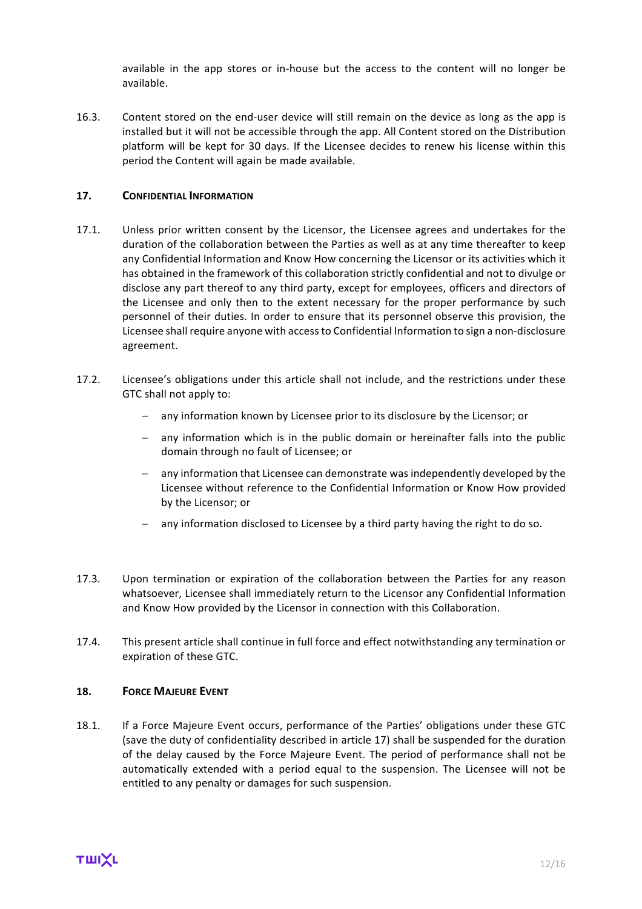available in the app stores or in-house but the access to the content will no longer be available. 

16.3. Content stored on the end-user device will still remain on the device as long as the app is installed but it will not be accessible through the app. All Content stored on the Distribution platform will be kept for 30 days. If the Licensee decides to renew his license within this period the Content will again be made available.

#### **17. CONFIDENTIAL INFORMATION**

- 17.1. Unless prior written consent by the Licensor, the Licensee agrees and undertakes for the duration of the collaboration between the Parties as well as at any time thereafter to keep any Confidential Information and Know How concerning the Licensor or its activities which it has obtained in the framework of this collaboration strictly confidential and not to divulge or disclose any part thereof to any third party, except for employees, officers and directors of the Licensee and only then to the extent necessary for the proper performance by such personnel of their duties. In order to ensure that its personnel observe this provision, the Licensee shall require anyone with access to Confidential Information to sign a non-disclosure agreement.
- 17.2. Licensee's obligations under this article shall not include, and the restrictions under these GTC shall not apply to:
	- any information known by Licensee prior to its disclosure by the Licensor; or
	- any information which is in the public domain or hereinafter falls into the public domain through no fault of Licensee; or
	- any information that Licensee can demonstrate was independently developed by the Licensee without reference to the Confidential Information or Know How provided by the Licensor; or
	- $-$  any information disclosed to Licensee by a third party having the right to do so.
- 17.3. Upon termination or expiration of the collaboration between the Parties for any reason whatsoever, Licensee shall immediately return to the Licensor any Confidential Information and Know How provided by the Licensor in connection with this Collaboration.
- 17.4. This present article shall continue in full force and effect notwithstanding any termination or expiration of these GTC.

#### **18. FORCE MAJEURE EVENT**

18.1. If a Force Majeure Event occurs, performance of the Parties' obligations under these GTC (save the duty of confidentiality described in article 17) shall be suspended for the duration of the delay caused by the Force Majeure Event. The period of performance shall not be automatically extended with a period equal to the suspension. The Licensee will not be entitled to any penalty or damages for such suspension.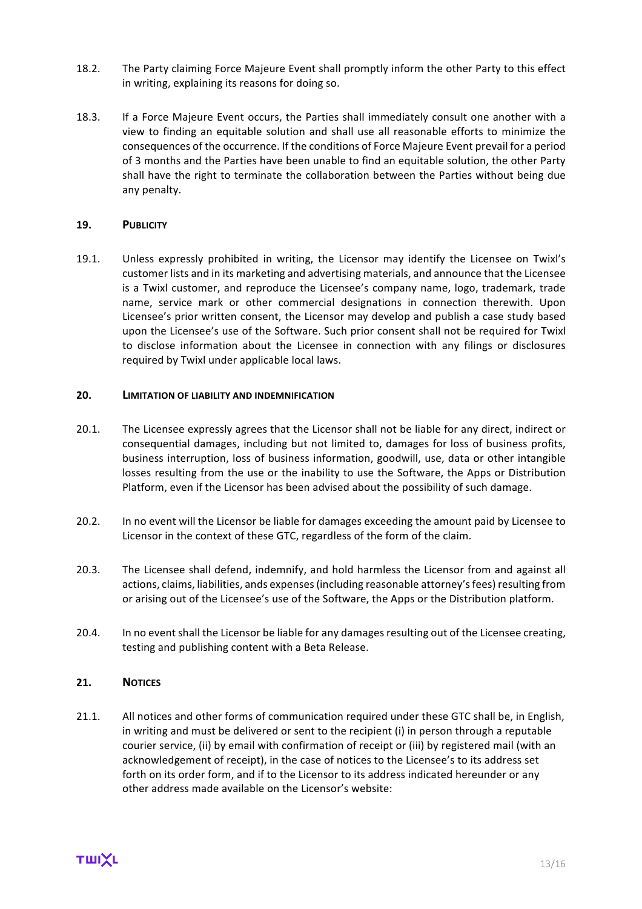- 18.2. The Party claiming Force Majeure Event shall promptly inform the other Party to this effect in writing, explaining its reasons for doing so.
- 18.3. If a Force Majeure Event occurs, the Parties shall immediately consult one another with a view to finding an equitable solution and shall use all reasonable efforts to minimize the consequences of the occurrence. If the conditions of Force Majeure Event prevail for a period of 3 months and the Parties have been unable to find an equitable solution, the other Party shall have the right to terminate the collaboration between the Parties without being due any penalty.

#### **19. PUBLICITY**

19.1. Unless expressly prohibited in writing, the Licensor may identify the Licensee on Twixl's customer lists and in its marketing and advertising materials, and announce that the Licensee is a Twixl customer, and reproduce the Licensee's company name, logo, trademark, trade name, service mark or other commercial designations in connection therewith. Upon Licensee's prior written consent, the Licensor may develop and publish a case study based upon the Licensee's use of the Software. Such prior consent shall not be required for Twixl to disclose information about the Licensee in connection with any filings or disclosures required by Twixl under applicable local laws.

#### **20. LIMITATION OF LIABILITY AND INDEMNIFICATION**

- 20.1. The Licensee expressly agrees that the Licensor shall not be liable for any direct, indirect or consequential damages, including but not limited to, damages for loss of business profits, business interruption, loss of business information, goodwill, use, data or other intangible losses resulting from the use or the inability to use the Software, the Apps or Distribution Platform, even if the Licensor has been advised about the possibility of such damage.
- 20.2. In no event will the Licensor be liable for damages exceeding the amount paid by Licensee to Licensor in the context of these GTC, regardless of the form of the claim.
- 20.3. The Licensee shall defend, indemnify, and hold harmless the Licensor from and against all actions, claims, liabilities, ands expenses (including reasonable attorney's fees) resulting from or arising out of the Licensee's use of the Software, the Apps or the Distribution platform.
- 20.4. In no event shall the Licensor be liable for any damages resulting out of the Licensee creating, testing and publishing content with a Beta Release.

## **21. NOTICES**

21.1. All notices and other forms of communication required under these GTC shall be, in English, in writing and must be delivered or sent to the recipient  $(i)$  in person through a reputable courier service, (ii) by email with confirmation of receipt or (iii) by registered mail (with an acknowledgement of receipt), in the case of notices to the Licensee's to its address set forth on its order form, and if to the Licensor to its address indicated hereunder or any other address made available on the Licensor's website: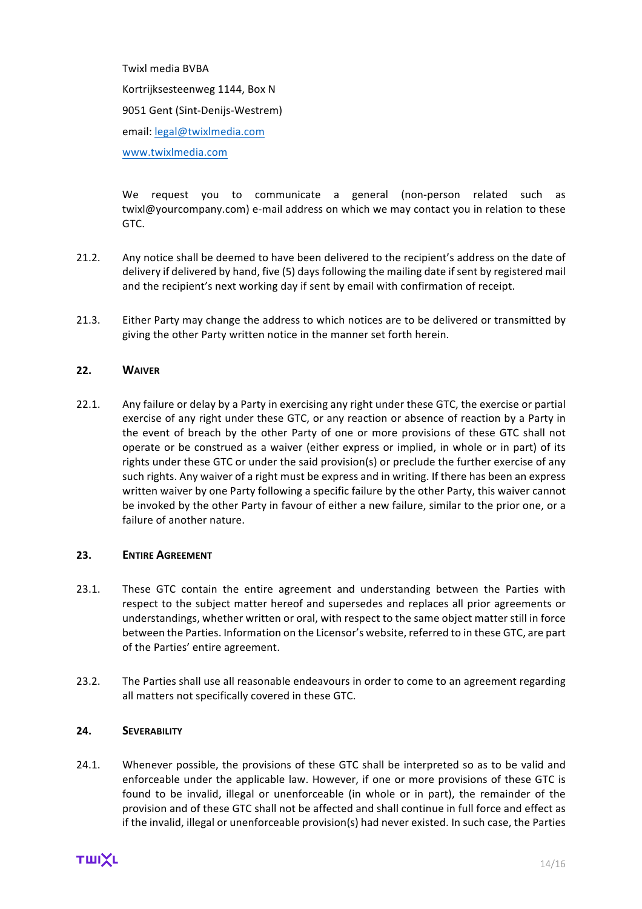Twixl media **BVBA** Kortrijksesteenweg 1144, Box N 9051 Gent (Sint-Denijs-Westrem) email: legal@twixlmedia.com www.twixlmedia.com

We request you to communicate a general (non-person related such as twixl@yourcompany.com) e-mail address on which we may contact you in relation to these GTC.

- 21.2. Any notice shall be deemed to have been delivered to the recipient's address on the date of delivery if delivered by hand, five (5) days following the mailing date if sent by registered mail and the recipient's next working day if sent by email with confirmation of receipt.
- 21.3. Either Party may change the address to which notices are to be delivered or transmitted by giving the other Party written notice in the manner set forth herein.

# **22. WAIVER**

22.1. Any failure or delay by a Party in exercising any right under these GTC, the exercise or partial exercise of any right under these GTC, or any reaction or absence of reaction by a Party in the event of breach by the other Party of one or more provisions of these GTC shall not operate or be construed as a waiver (either express or implied, in whole or in part) of its rights under these GTC or under the said provision(s) or preclude the further exercise of any such rights. Any waiver of a right must be express and in writing. If there has been an express written waiver by one Party following a specific failure by the other Party, this waiver cannot be invoked by the other Party in favour of either a new failure, similar to the prior one, or a failure of another nature.

#### 23. **ENTIRE AGREEMENT**

- 23.1. These GTC contain the entire agreement and understanding between the Parties with respect to the subject matter hereof and supersedes and replaces all prior agreements or understandings, whether written or oral, with respect to the same object matter still in force between the Parties. Information on the Licensor's website, referred to in these GTC, are part of the Parties' entire agreement.
- 23.2. The Parties shall use all reasonable endeavours in order to come to an agreement regarding all matters not specifically covered in these GTC.

#### **24. SEVERABILITY**

24.1. Whenever possible, the provisions of these GTC shall be interpreted so as to be valid and enforceable under the applicable law. However, if one or more provisions of these GTC is found to be invalid, illegal or unenforceable (in whole or in part), the remainder of the provision and of these GTC shall not be affected and shall continue in full force and effect as if the invalid, illegal or unenforceable provision(s) had never existed. In such case, the Parties

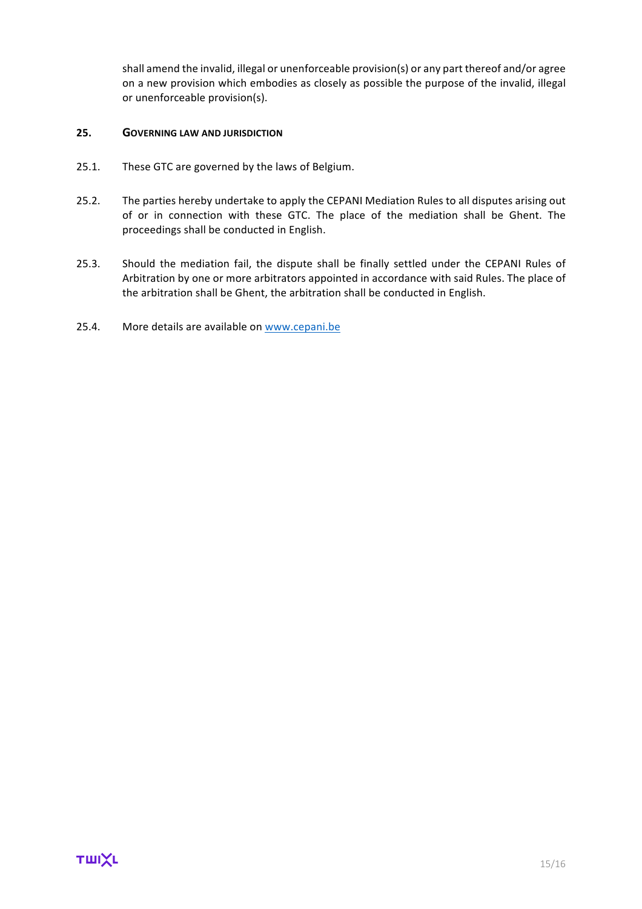shall amend the invalid, illegal or unenforceable provision(s) or any part thereof and/or agree on a new provision which embodies as closely as possible the purpose of the invalid, illegal or unenforceable provision(s).

#### **25. GOVERNING LAW AND JURISDICTION**

- 25.1. These GTC are governed by the laws of Belgium.
- 25.2. The parties hereby undertake to apply the CEPANI Mediation Rules to all disputes arising out of or in connection with these GTC. The place of the mediation shall be Ghent. The proceedings shall be conducted in English.
- 25.3. Should the mediation fail, the dispute shall be finally settled under the CEPANI Rules of Arbitration by one or more arbitrators appointed in accordance with said Rules. The place of the arbitration shall be Ghent, the arbitration shall be conducted in English.
- 25.4. More details are available on www.cepani.be